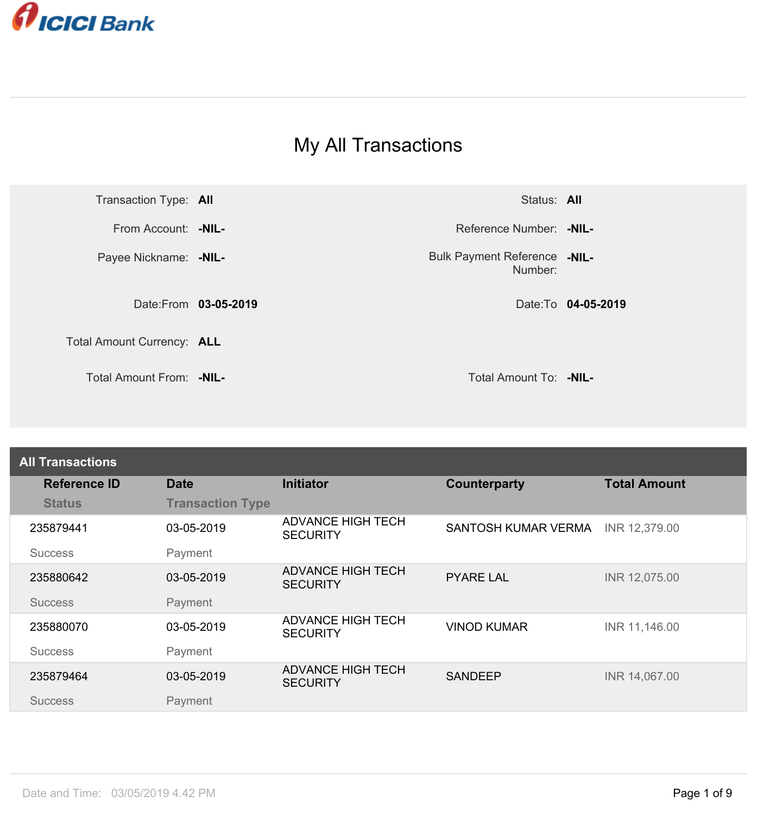

## My All Transactions



Number: Bulk Payment Reference -NIL-

| <b>All Transactions</b> |                         |                                             |                     |                     |
|-------------------------|-------------------------|---------------------------------------------|---------------------|---------------------|
| <b>Reference ID</b>     | <b>Date</b>             | <b>Initiator</b>                            | <b>Counterparty</b> | <b>Total Amount</b> |
| <b>Status</b>           | <b>Transaction Type</b> |                                             |                     |                     |
| 235879441               | 03-05-2019              | <b>ADVANCE HIGH TECH</b><br><b>SECURITY</b> | SANTOSH KUMAR VERMA | INR 12,379.00       |
| <b>Success</b>          | Payment                 |                                             |                     |                     |
| 235880642               | 03-05-2019              | <b>ADVANCE HIGH TECH</b><br><b>SECURITY</b> | <b>PYARE LAL</b>    | INR 12,075.00       |
| <b>Success</b>          | Payment                 |                                             |                     |                     |
| 235880070               | 03-05-2019              | <b>ADVANCE HIGH TECH</b><br><b>SECURITY</b> | <b>VINOD KUMAR</b>  | INR 11,146.00       |
| <b>Success</b>          | Payment                 |                                             |                     |                     |
| 235879464               | 03-05-2019              | <b>ADVANCE HIGH TECH</b><br><b>SECURITY</b> | <b>SANDEEP</b>      | INR 14,067.00       |
| <b>Success</b>          | Payment                 |                                             |                     |                     |
|                         |                         |                                             |                     |                     |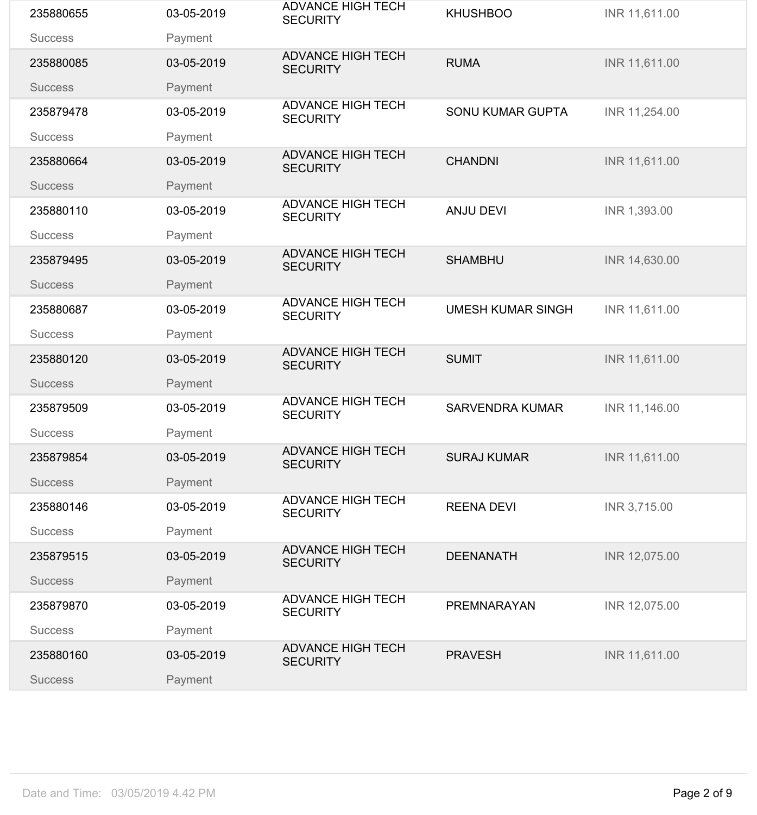| 235880655      | 03-05-2019 | <b>ADVANCE HIGH TECH</b><br><b>SECURITY</b> | <b>KHUSHBOO</b>          | INR 11,611.00 |
|----------------|------------|---------------------------------------------|--------------------------|---------------|
| <b>Success</b> | Payment    |                                             |                          |               |
| 235880085      | 03-05-2019 | <b>ADVANCE HIGH TECH</b><br><b>SECURITY</b> | <b>RUMA</b>              | INR 11,611.00 |
| <b>Success</b> | Payment    |                                             |                          |               |
| 235879478      | 03-05-2019 | <b>ADVANCE HIGH TECH</b><br><b>SECURITY</b> | <b>SONU KUMAR GUPTA</b>  | INR 11,254.00 |
| <b>Success</b> | Payment    |                                             |                          |               |
| 235880664      | 03-05-2019 | <b>ADVANCE HIGH TECH</b><br><b>SECURITY</b> | <b>CHANDNI</b>           | INR 11,611.00 |
| <b>Success</b> | Payment    |                                             |                          |               |
| 235880110      | 03-05-2019 | <b>ADVANCE HIGH TECH</b><br><b>SECURITY</b> | <b>ANJU DEVI</b>         | INR 1,393.00  |
| <b>Success</b> | Payment    | <b>ADVANCE HIGH TECH</b>                    |                          |               |
| 235879495      | 03-05-2019 | <b>SECURITY</b>                             | <b>SHAMBHU</b>           | INR 14,630.00 |
| <b>Success</b> | Payment    |                                             |                          |               |
| 235880687      | 03-05-2019 | <b>ADVANCE HIGH TECH</b><br><b>SECURITY</b> | <b>UMESH KUMAR SINGH</b> | INR 11,611.00 |
| <b>Success</b> | Payment    |                                             |                          |               |
| 235880120      | 03-05-2019 | <b>ADVANCE HIGH TECH</b><br><b>SECURITY</b> | <b>SUMIT</b>             | INR 11,611.00 |
| <b>Success</b> | Payment    |                                             |                          |               |
| 235879509      | 03-05-2019 | <b>ADVANCE HIGH TECH</b><br><b>SECURITY</b> | <b>SARVENDRA KUMAR</b>   | INR 11,146.00 |
| <b>Success</b> | Payment    |                                             |                          |               |
| 235879854      | 03-05-2019 | <b>ADVANCE HIGH TECH</b><br><b>SECURITY</b> | <b>SURAJ KUMAR</b>       | INR 11,611.00 |
| <b>Success</b> | Payment    |                                             |                          |               |
| 235880146      | 03-05-2019 | <b>ADVANCE HIGH TECH</b><br><b>SECURITY</b> | <b>REENA DEVI</b>        | INR 3,715.00  |
| <b>Success</b> | Payment    |                                             |                          |               |
| 235879515      | 03-05-2019 | <b>ADVANCE HIGH TECH</b><br><b>SECURITY</b> | <b>DEENANATH</b>         | INR 12,075.00 |
| <b>Success</b> | Payment    |                                             |                          |               |
| 235879870      | 03-05-2019 | <b>ADVANCE HIGH TECH</b><br><b>SECURITY</b> | <b>PREMNARAYAN</b>       | INR 12,075.00 |
| <b>Success</b> | Payment    |                                             |                          |               |
| 235880160      | 03-05-2019 | <b>ADVANCE HIGH TECH</b><br><b>SECURITY</b> | <b>PRAVESH</b>           | INR 11,611.00 |
| <b>Success</b> | Payment    |                                             |                          |               |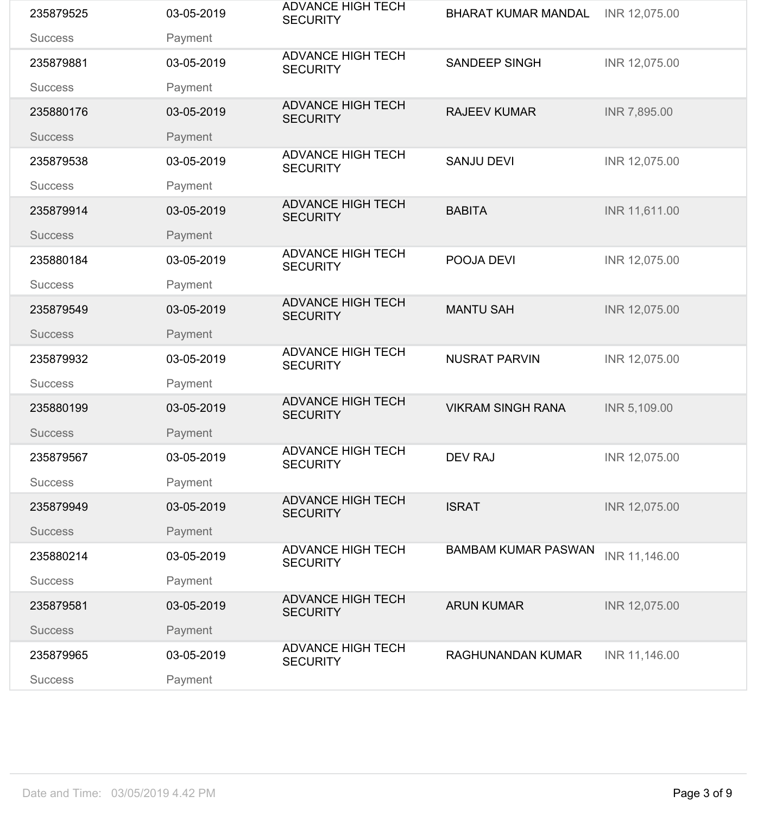| 235879525      | 03-05-2019 | <b>ADVANCE HIGH TECH</b><br><b>SECURITY</b> | <b>BHARAT KUMAR MANDAL</b> | INR 12,075.00 |
|----------------|------------|---------------------------------------------|----------------------------|---------------|
| <b>Success</b> | Payment    |                                             |                            |               |
| 235879881      | 03-05-2019 | <b>ADVANCE HIGH TECH</b><br><b>SECURITY</b> | <b>SANDEEP SINGH</b>       | INR 12,075.00 |
| <b>Success</b> | Payment    |                                             |                            |               |
| 235880176      | 03-05-2019 | <b>ADVANCE HIGH TECH</b><br><b>SECURITY</b> | <b>RAJEEV KUMAR</b>        | INR 7,895.00  |
| <b>Success</b> | Payment    |                                             |                            |               |
| 235879538      | 03-05-2019 | <b>ADVANCE HIGH TECH</b><br><b>SECURITY</b> | <b>SANJU DEVI</b>          | INR 12,075.00 |
| <b>Success</b> | Payment    |                                             |                            |               |
| 235879914      | 03-05-2019 | <b>ADVANCE HIGH TECH</b><br><b>SECURITY</b> | <b>BABITA</b>              | INR 11,611.00 |
| <b>Success</b> | Payment    | <b>ADVANCE HIGH TECH</b>                    |                            |               |
| 235880184      | 03-05-2019 | <b>SECURITY</b>                             | POOJA DEVI                 | INR 12,075.00 |
| <b>Success</b> | Payment    |                                             |                            |               |
| 235879549      | 03-05-2019 | <b>ADVANCE HIGH TECH</b><br><b>SECURITY</b> | <b>MANTU SAH</b>           | INR 12,075.00 |
| <b>Success</b> | Payment    |                                             |                            |               |
| 235879932      | 03-05-2019 | <b>ADVANCE HIGH TECH</b><br><b>SECURITY</b> | <b>NUSRAT PARVIN</b>       | INR 12,075.00 |
| <b>Success</b> | Payment    |                                             |                            |               |
| 235880199      | 03-05-2019 | <b>ADVANCE HIGH TECH</b><br><b>SECURITY</b> | <b>VIKRAM SINGH RANA</b>   | INR 5,109.00  |
| <b>Success</b> | Payment    |                                             |                            |               |
| 235879567      | 03-05-2019 | <b>ADVANCE HIGH TECH</b><br><b>SECURITY</b> | <b>DEV RAJ</b>             | INR 12,075.00 |
| <b>Success</b> | Payment    |                                             |                            |               |
| 235879949      | 03-05-2019 | <b>ADVANCE HIGH TECH</b><br><b>SECURITY</b> | <b>ISRAT</b>               | INR 12,075.00 |
| <b>Success</b> | Payment    |                                             |                            |               |
| 235880214      | 03-05-2019 | <b>ADVANCE HIGH TECH</b><br><b>SECURITY</b> | <b>BAMBAM KUMAR PASWAN</b> | INR 11,146.00 |
| <b>Success</b> | Payment    |                                             |                            |               |
| 235879581      | 03-05-2019 | <b>ADVANCE HIGH TECH</b><br><b>SECURITY</b> | <b>ARUN KUMAR</b>          | INR 12,075.00 |
| <b>Success</b> | Payment    |                                             |                            |               |
| 235879965      | 03-05-2019 | <b>ADVANCE HIGH TECH</b><br><b>SECURITY</b> | <b>RAGHUNANDAN KUMAR</b>   | INR 11,146.00 |
| <b>Success</b> | Payment    |                                             |                            |               |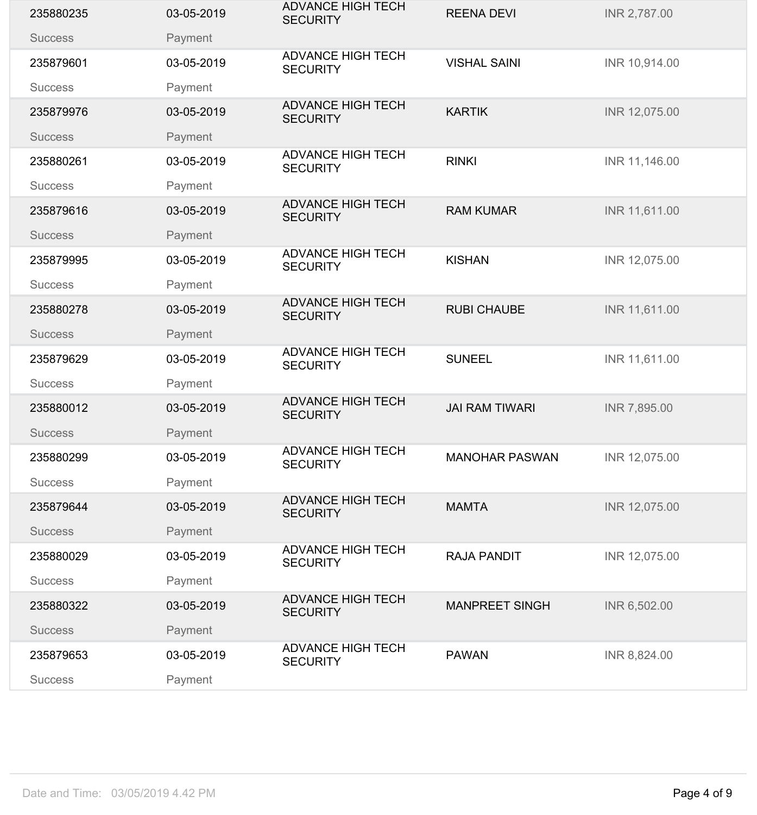| 235880235      | 03-05-2019 | <b>ADVANCE HIGH TECH</b><br><b>SECURITY</b> | <b>REENA DEVI</b>     | INR 2,787.00  |
|----------------|------------|---------------------------------------------|-----------------------|---------------|
| <b>Success</b> | Payment    |                                             |                       |               |
| 235879601      | 03-05-2019 | <b>ADVANCE HIGH TECH</b><br><b>SECURITY</b> | <b>VISHAL SAINI</b>   | INR 10,914.00 |
| <b>Success</b> | Payment    |                                             |                       |               |
| 235879976      | 03-05-2019 | <b>ADVANCE HIGH TECH</b><br><b>SECURITY</b> | <b>KARTIK</b>         | INR 12,075.00 |
| <b>Success</b> | Payment    |                                             |                       |               |
| 235880261      | 03-05-2019 | <b>ADVANCE HIGH TECH</b><br><b>SECURITY</b> | <b>RINKI</b>          | INR 11,146.00 |
| <b>Success</b> | Payment    |                                             |                       |               |
| 235879616      | 03-05-2019 | <b>ADVANCE HIGH TECH</b><br><b>SECURITY</b> | <b>RAM KUMAR</b>      | INR 11,611.00 |
| <b>Success</b> | Payment    | <b>ADVANCE HIGH TECH</b>                    |                       |               |
| 235879995      | 03-05-2019 | <b>SECURITY</b>                             | <b>KISHAN</b>         | INR 12,075.00 |
| <b>Success</b> | Payment    |                                             |                       |               |
| 235880278      | 03-05-2019 | <b>ADVANCE HIGH TECH</b><br><b>SECURITY</b> | <b>RUBI CHAUBE</b>    | INR 11,611.00 |
| <b>Success</b> | Payment    |                                             |                       |               |
| 235879629      | 03-05-2019 | <b>ADVANCE HIGH TECH</b><br><b>SECURITY</b> | <b>SUNEEL</b>         | INR 11,611.00 |
| <b>Success</b> | Payment    |                                             |                       |               |
| 235880012      | 03-05-2019 | <b>ADVANCE HIGH TECH</b><br><b>SECURITY</b> | <b>JAI RAM TIWARI</b> | INR 7,895.00  |
| <b>Success</b> | Payment    |                                             |                       |               |
| 235880299      | 03-05-2019 | <b>ADVANCE HIGH TECH</b><br><b>SECURITY</b> | <b>MANOHAR PASWAN</b> | INR 12,075.00 |
| <b>Success</b> | Payment    |                                             |                       |               |
| 235879644      | 03-05-2019 | <b>ADVANCE HIGH TECH</b><br><b>SECURITY</b> | <b>MAMTA</b>          | INR 12,075.00 |
| <b>Success</b> | Payment    |                                             |                       |               |
| 235880029      | 03-05-2019 | <b>ADVANCE HIGH TECH</b><br><b>SECURITY</b> | <b>RAJA PANDIT</b>    | INR 12,075.00 |
| <b>Success</b> | Payment    |                                             |                       |               |
| 235880322      | 03-05-2019 | <b>ADVANCE HIGH TECH</b><br><b>SECURITY</b> | <b>MANPREET SINGH</b> | INR 6,502.00  |
| <b>Success</b> | Payment    |                                             |                       |               |
| 235879653      | 03-05-2019 | <b>ADVANCE HIGH TECH</b><br><b>SECURITY</b> | <b>PAWAN</b>          | INR 8,824.00  |
| <b>Success</b> | Payment    |                                             |                       |               |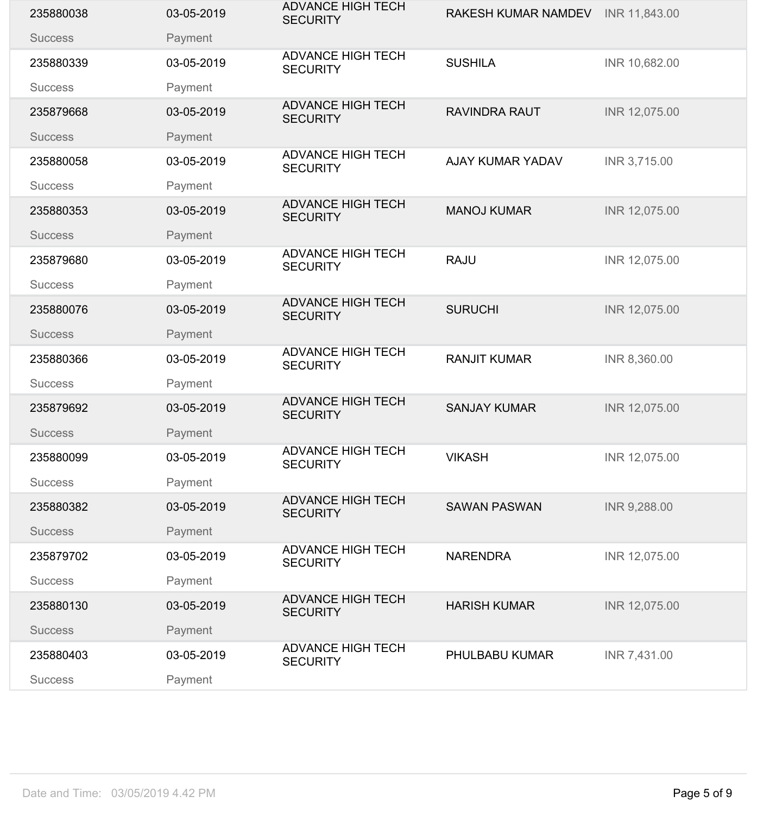| 235880038      | 03-05-2019 | <b>ADVANCE HIGH TECH</b><br><b>SECURITY</b> | <b>RAKESH KUMAR NAMDEV</b> | INR 11,843.00 |
|----------------|------------|---------------------------------------------|----------------------------|---------------|
| <b>Success</b> | Payment    |                                             |                            |               |
| 235880339      | 03-05-2019 | <b>ADVANCE HIGH TECH</b><br><b>SECURITY</b> | <b>SUSHILA</b>             | INR 10,682.00 |
| <b>Success</b> | Payment    |                                             |                            |               |
| 235879668      | 03-05-2019 | <b>ADVANCE HIGH TECH</b><br><b>SECURITY</b> | <b>RAVINDRA RAUT</b>       | INR 12,075.00 |
| <b>Success</b> | Payment    |                                             |                            |               |
| 235880058      | 03-05-2019 | <b>ADVANCE HIGH TECH</b><br><b>SECURITY</b> | <b>AJAY KUMAR YADAV</b>    | INR 3,715.00  |
| <b>Success</b> | Payment    |                                             |                            |               |
| 235880353      | 03-05-2019 | <b>ADVANCE HIGH TECH</b><br><b>SECURITY</b> | <b>MANOJ KUMAR</b>         | INR 12,075.00 |
| <b>Success</b> | Payment    |                                             |                            |               |
| 235879680      | 03-05-2019 | <b>ADVANCE HIGH TECH</b><br><b>SECURITY</b> | <b>RAJU</b>                | INR 12,075.00 |
| <b>Success</b> | Payment    |                                             |                            |               |
| 235880076      | 03-05-2019 | <b>ADVANCE HIGH TECH</b><br><b>SECURITY</b> | <b>SURUCHI</b>             | INR 12,075.00 |
| <b>Success</b> | Payment    |                                             |                            |               |
| 235880366      | 03-05-2019 | <b>ADVANCE HIGH TECH</b><br><b>SECURITY</b> | <b>RANJIT KUMAR</b>        | INR 8,360.00  |
| <b>Success</b> | Payment    |                                             |                            |               |
| 235879692      | 03-05-2019 | <b>ADVANCE HIGH TECH</b><br><b>SECURITY</b> | <b>SANJAY KUMAR</b>        | INR 12,075.00 |
| <b>Success</b> | Payment    |                                             |                            |               |
| 235880099      | 03-05-2019 | <b>ADVANCE HIGH TECH</b><br><b>SECURITY</b> | <b>VIKASH</b>              | INR 12,075.00 |
| <b>Success</b> | Payment    |                                             |                            |               |
| 235880382      | 03-05-2019 | <b>ADVANCE HIGH TECH</b><br><b>SECURITY</b> | <b>SAWAN PASWAN</b>        | INR 9,288.00  |
| <b>Success</b> | Payment    |                                             |                            |               |
| 235879702      | 03-05-2019 | <b>ADVANCE HIGH TECH</b><br><b>SECURITY</b> | <b>NARENDRA</b>            | INR 12,075.00 |
| <b>Success</b> | Payment    |                                             |                            |               |
| 235880130      | 03-05-2019 | <b>ADVANCE HIGH TECH</b><br><b>SECURITY</b> | <b>HARISH KUMAR</b>        | INR 12,075.00 |
| <b>Success</b> | Payment    |                                             |                            |               |
| 235880403      | 03-05-2019 | <b>ADVANCE HIGH TECH</b><br><b>SECURITY</b> | PHULBABU KUMAR             | INR 7,431.00  |
| <b>Success</b> | Payment    |                                             |                            |               |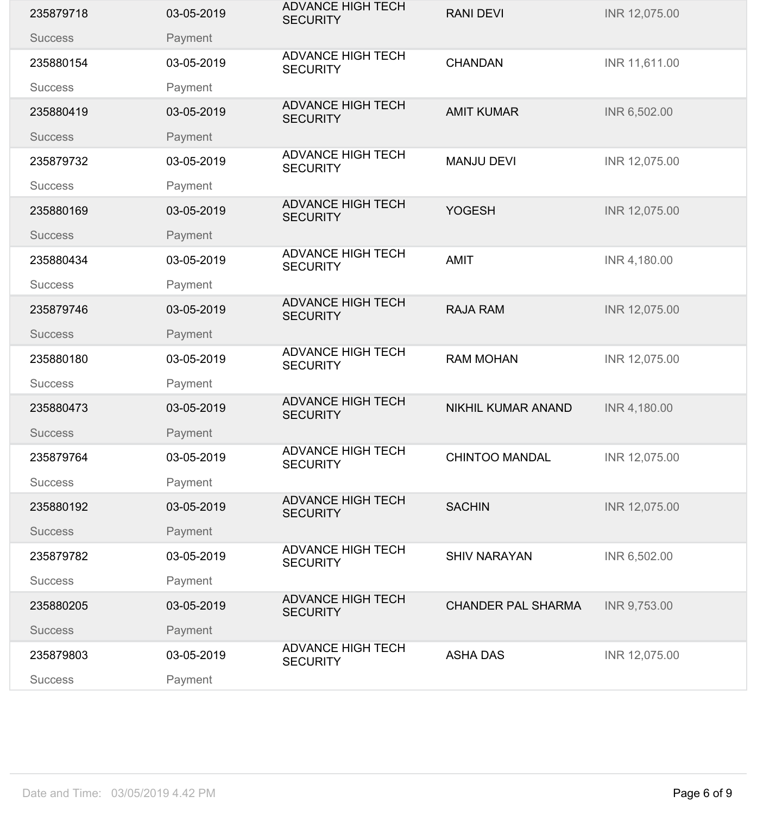| 235879718      | 03-05-2019 | <b>ADVANCE HIGH TECH</b><br><b>SECURITY</b> | <b>RANI DEVI</b>          | INR 12,075.00 |
|----------------|------------|---------------------------------------------|---------------------------|---------------|
| <b>Success</b> | Payment    |                                             |                           |               |
| 235880154      | 03-05-2019 | <b>ADVANCE HIGH TECH</b><br><b>SECURITY</b> | <b>CHANDAN</b>            | INR 11,611.00 |
| <b>Success</b> | Payment    |                                             |                           |               |
| 235880419      | 03-05-2019 | <b>ADVANCE HIGH TECH</b><br><b>SECURITY</b> | <b>AMIT KUMAR</b>         | INR 6,502.00  |
| <b>Success</b> | Payment    |                                             |                           |               |
| 235879732      | 03-05-2019 | <b>ADVANCE HIGH TECH</b><br><b>SECURITY</b> | <b>MANJU DEVI</b>         | INR 12,075.00 |
| <b>Success</b> | Payment    |                                             |                           |               |
| 235880169      | 03-05-2019 | <b>ADVANCE HIGH TECH</b><br><b>SECURITY</b> | <b>YOGESH</b>             | INR 12,075.00 |
| <b>Success</b> | Payment    | <b>ADVANCE HIGH TECH</b>                    |                           |               |
| 235880434      | 03-05-2019 | <b>SECURITY</b>                             | <b>AMIT</b>               | INR 4,180.00  |
| <b>Success</b> | Payment    |                                             |                           |               |
| 235879746      | 03-05-2019 | <b>ADVANCE HIGH TECH</b><br><b>SECURITY</b> | <b>RAJA RAM</b>           | INR 12,075.00 |
| <b>Success</b> | Payment    |                                             |                           |               |
| 235880180      | 03-05-2019 | <b>ADVANCE HIGH TECH</b><br><b>SECURITY</b> | <b>RAM MOHAN</b>          | INR 12,075.00 |
| <b>Success</b> | Payment    |                                             |                           |               |
| 235880473      | 03-05-2019 | <b>ADVANCE HIGH TECH</b><br><b>SECURITY</b> | <b>NIKHIL KUMAR ANAND</b> | INR 4,180.00  |
| <b>Success</b> | Payment    |                                             |                           |               |
| 235879764      | 03-05-2019 | <b>ADVANCE HIGH TECH</b><br><b>SECURITY</b> | <b>CHINTOO MANDAL</b>     | INR 12,075.00 |
| <b>Success</b> | Payment    |                                             |                           |               |
| 235880192      | 03-05-2019 | <b>ADVANCE HIGH TECH</b><br><b>SECURITY</b> | <b>SACHIN</b>             | INR 12,075.00 |
| <b>Success</b> | Payment    |                                             |                           |               |
| 235879782      | 03-05-2019 | <b>ADVANCE HIGH TECH</b><br><b>SECURITY</b> | <b>SHIV NARAYAN</b>       | INR 6,502.00  |
| <b>Success</b> | Payment    |                                             |                           |               |
| 235880205      | 03-05-2019 | <b>ADVANCE HIGH TECH</b><br><b>SECURITY</b> | <b>CHANDER PAL SHARMA</b> | INR 9,753.00  |
| <b>Success</b> | Payment    |                                             |                           |               |
| 235879803      | 03-05-2019 | <b>ADVANCE HIGH TECH</b><br><b>SECURITY</b> | <b>ASHA DAS</b>           | INR 12,075.00 |
| <b>Success</b> | Payment    |                                             |                           |               |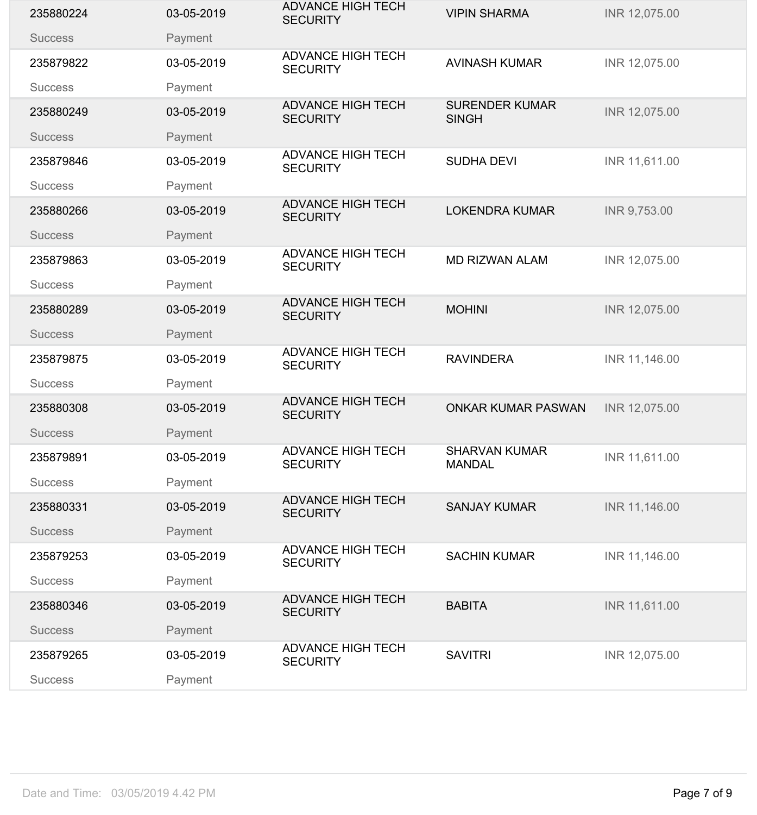| 235880224      | 03-05-2019 | <b>ADVANCE HIGH TECH</b><br><b>SECURITY</b> | <b>VIPIN SHARMA</b>                   | INR 12,075.00 |
|----------------|------------|---------------------------------------------|---------------------------------------|---------------|
| <b>Success</b> | Payment    |                                             |                                       |               |
| 235879822      | 03-05-2019 | <b>ADVANCE HIGH TECH</b><br><b>SECURITY</b> | <b>AVINASH KUMAR</b>                  | INR 12,075.00 |
| <b>Success</b> | Payment    |                                             |                                       |               |
| 235880249      | 03-05-2019 | <b>ADVANCE HIGH TECH</b><br><b>SECURITY</b> | <b>SURENDER KUMAR</b><br><b>SINGH</b> | INR 12,075.00 |
| <b>Success</b> | Payment    |                                             |                                       |               |
| 235879846      | 03-05-2019 | <b>ADVANCE HIGH TECH</b><br><b>SECURITY</b> | <b>SUDHA DEVI</b>                     | INR 11,611.00 |
| <b>Success</b> | Payment    |                                             |                                       |               |
| 235880266      | 03-05-2019 | <b>ADVANCE HIGH TECH</b><br><b>SECURITY</b> | <b>LOKENDRA KUMAR</b>                 | INR 9,753.00  |
| <b>Success</b> | Payment    | <b>ADVANCE HIGH TECH</b>                    |                                       |               |
| 235879863      | 03-05-2019 | <b>SECURITY</b>                             | <b>MD RIZWAN ALAM</b>                 | INR 12,075.00 |
| <b>Success</b> | Payment    |                                             |                                       |               |
| 235880289      | 03-05-2019 | <b>ADVANCE HIGH TECH</b><br><b>SECURITY</b> | <b>MOHINI</b>                         | INR 12,075.00 |
| <b>Success</b> | Payment    |                                             |                                       |               |
| 235879875      | 03-05-2019 | <b>ADVANCE HIGH TECH</b><br><b>SECURITY</b> | <b>RAVINDERA</b>                      | INR 11,146.00 |
| <b>Success</b> | Payment    |                                             |                                       |               |
| 235880308      | 03-05-2019 | <b>ADVANCE HIGH TECH</b><br><b>SECURITY</b> | <b>ONKAR KUMAR PASWAN</b>             | INR 12,075.00 |
| <b>Success</b> | Payment    |                                             |                                       |               |
| 235879891      | 03-05-2019 | <b>ADVANCE HIGH TECH</b><br><b>SECURITY</b> | <b>SHARVAN KUMAR</b><br><b>MANDAL</b> | INR 11,611.00 |
| <b>Success</b> | Payment    |                                             |                                       |               |
| 235880331      | 03-05-2019 | <b>ADVANCE HIGH TECH</b><br><b>SECURITY</b> | <b>SANJAY KUMAR</b>                   | INR 11,146.00 |
| <b>Success</b> | Payment    |                                             |                                       |               |
| 235879253      | 03-05-2019 | <b>ADVANCE HIGH TECH</b><br><b>SECURITY</b> | <b>SACHIN KUMAR</b>                   | INR 11,146.00 |
| <b>Success</b> | Payment    |                                             |                                       |               |
| 235880346      | 03-05-2019 | <b>ADVANCE HIGH TECH</b><br><b>SECURITY</b> | <b>BABITA</b>                         | INR 11,611.00 |
| <b>Success</b> | Payment    |                                             |                                       |               |
| 235879265      | 03-05-2019 | <b>ADVANCE HIGH TECH</b><br><b>SECURITY</b> | <b>SAVITRI</b>                        | INR 12,075.00 |
| <b>Success</b> | Payment    |                                             |                                       |               |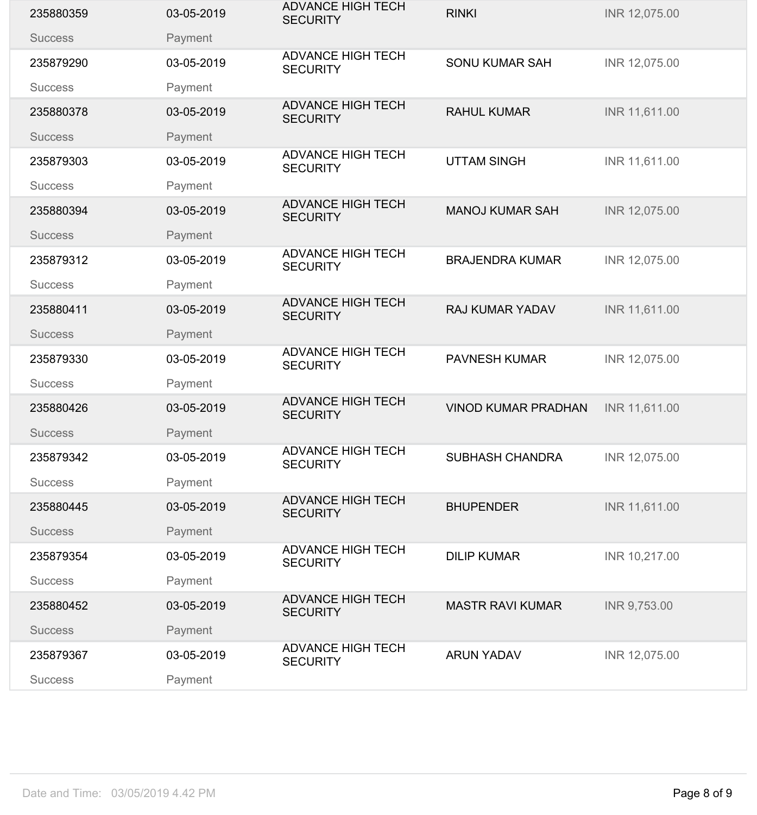| 235880359      | 03-05-2019 | <b>ADVANCE HIGH TECH</b><br><b>SECURITY</b> | <b>RINKI</b>               | INR 12,075.00 |
|----------------|------------|---------------------------------------------|----------------------------|---------------|
| <b>Success</b> | Payment    |                                             |                            |               |
| 235879290      | 03-05-2019 | <b>ADVANCE HIGH TECH</b><br><b>SECURITY</b> | <b>SONU KUMAR SAH</b>      | INR 12,075.00 |
| <b>Success</b> | Payment    |                                             |                            |               |
| 235880378      | 03-05-2019 | <b>ADVANCE HIGH TECH</b><br><b>SECURITY</b> | <b>RAHUL KUMAR</b>         | INR 11,611.00 |
| <b>Success</b> | Payment    |                                             |                            |               |
| 235879303      | 03-05-2019 | <b>ADVANCE HIGH TECH</b><br><b>SECURITY</b> | <b>UTTAM SINGH</b>         | INR 11,611.00 |
| <b>Success</b> | Payment    |                                             |                            |               |
| 235880394      | 03-05-2019 | <b>ADVANCE HIGH TECH</b><br><b>SECURITY</b> | <b>MANOJ KUMAR SAH</b>     | INR 12,075.00 |
| <b>Success</b> | Payment    | <b>ADVANCE HIGH TECH</b>                    |                            |               |
| 235879312      | 03-05-2019 | <b>SECURITY</b>                             | <b>BRAJENDRA KUMAR</b>     | INR 12,075.00 |
| <b>Success</b> | Payment    |                                             |                            |               |
| 235880411      | 03-05-2019 | <b>ADVANCE HIGH TECH</b><br><b>SECURITY</b> | <b>RAJ KUMAR YADAV</b>     | INR 11,611.00 |
| <b>Success</b> | Payment    |                                             |                            |               |
| 235879330      | 03-05-2019 | <b>ADVANCE HIGH TECH</b><br><b>SECURITY</b> | <b>PAVNESH KUMAR</b>       | INR 12,075.00 |
| <b>Success</b> | Payment    |                                             |                            |               |
| 235880426      | 03-05-2019 | <b>ADVANCE HIGH TECH</b><br><b>SECURITY</b> | <b>VINOD KUMAR PRADHAN</b> | INR 11,611.00 |
| <b>Success</b> | Payment    |                                             |                            |               |
| 235879342      | 03-05-2019 | <b>ADVANCE HIGH TECH</b><br><b>SECURITY</b> | <b>SUBHASH CHANDRA</b>     | INR 12,075.00 |
| <b>Success</b> | Payment    |                                             |                            |               |
| 235880445      | 03-05-2019 | <b>ADVANCE HIGH TECH</b><br><b>SECURITY</b> | <b>BHUPENDER</b>           | INR 11,611.00 |
| <b>Success</b> | Payment    |                                             |                            |               |
| 235879354      | 03-05-2019 | <b>ADVANCE HIGH TECH</b><br><b>SECURITY</b> | <b>DILIP KUMAR</b>         | INR 10,217.00 |
| <b>Success</b> | Payment    |                                             |                            |               |
| 235880452      | 03-05-2019 | <b>ADVANCE HIGH TECH</b><br><b>SECURITY</b> | <b>MASTR RAVI KUMAR</b>    | INR 9,753.00  |
| <b>Success</b> | Payment    |                                             |                            |               |
| 235879367      | 03-05-2019 | <b>ADVANCE HIGH TECH</b><br><b>SECURITY</b> | <b>ARUN YADAV</b>          | INR 12,075.00 |
| <b>Success</b> | Payment    |                                             |                            |               |